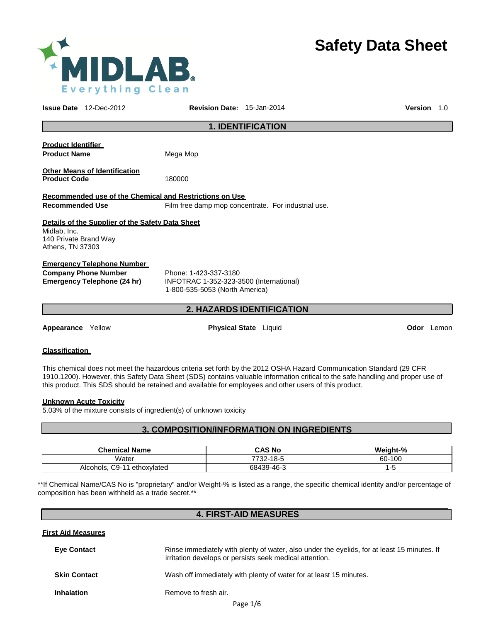

# **Safety Data Sheet**

**Issue Date** 12-Dec-2012 **Revision Date:** 15-Jan-2014 **Version** 1.0 **1. IDENTIFICATION Product Identifier Product Name** Mega Mop **Other Means of Identification Product Code** 180000 **Recommended use of the Chemical and Restrictions on Use Recommended Use** Film free damp mop concentrate. For industrial use. **Details of the Supplier of the Safety Data Sheet** Midlab, Inc. 140 Private Brand Way Athens, TN 37303 **Emergency Telephone Number Company Phone Number** Phone: 1-423-337-3180 **Emergency Telephone (24 hr)** INFOTRAC 1-352-323-3500 (International) 1-800-535-5053 (North America) **2. HAZARDS IDENTIFICATION Appearance** Yellow **Physical State** Liquid **Odor** Lemon **Classification**  This chemical does not meet the hazardous criteria set forth by the 2012 OSHA Hazard Communication Standard (29 CFR

**Unknown Acute Toxicity**

5.03% of the mixture consists of ingredient(s) of unknown toxicity

### **3. COMPOSITION/INFORMATION ON INGREDIENTS**

1910.1200). However, this Safety Data Sheet (SDS) contains valuable information critical to the safe handling and proper use of

this product. This SDS should be retained and available for employees and other users of this product.

| <b>Chemical Name</b>                              | <b>CAS No</b> | Weight-% |
|---------------------------------------------------|---------------|----------|
| Water                                             | 7732-18-5     | 60-100   |
| C9-<br>$\overline{A}$<br>ethoxvlated<br>Alcohols. | 68439-46-3    | --<br>ت- |

\*\*If Chemical Name/CAS No is "proprietary" and/or Weight-% is listed as a range, the specific chemical identity and/or percentage of composition has been withheld as a trade secret.\*\*

### **4. FIRST-AID MEASURES**

| <b>First Aid Measures</b> |                                                                                                                                                        |
|---------------------------|--------------------------------------------------------------------------------------------------------------------------------------------------------|
| <b>Eye Contact</b>        | Rinse immediately with plenty of water, also under the eyelids, for at least 15 minutes. If<br>irritation develops or persists seek medical attention. |
| <b>Skin Contact</b>       | Wash off immediately with plenty of water for at least 15 minutes.                                                                                     |
| <b>Inhalation</b>         | Remove to fresh air.                                                                                                                                   |
|                           | $D = - - 41c$                                                                                                                                          |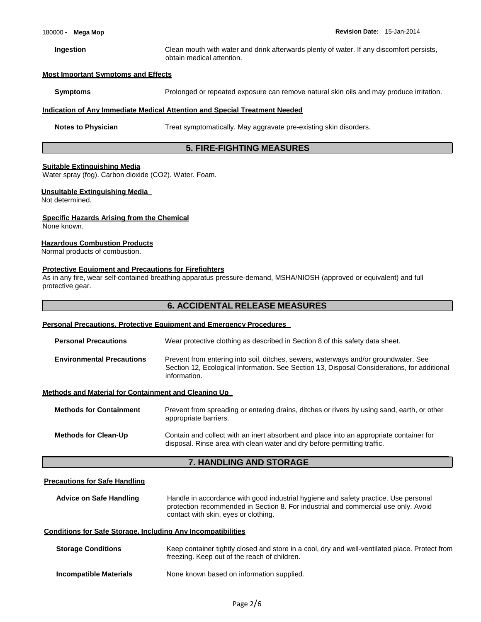**Ingestion** Clean mouth with water and drink afterwards plenty of water. If any discomfort persists, obtain medical attention.

### **Most Important Symptoms and Effects**

**Symptoms** Prolonged or repeated exposure can remove natural skin oils and may produce irritation.

### **Indication of Any Immediate Medical Attention and Special Treatment Needed**

**Notes to Physician** Treat symptomatically. May aggravate pre-existing skin disorders.

### **5. FIRE-FIGHTING MEASURES**

### **Suitable Extinguishing Media**

Water spray (fog). Carbon dioxide (CO2). Water. Foam.

### **Unsuitable Extinguishing Media**

Not determined.

### **Specific Hazards Arising from the Chemical**

None known.

### **Hazardous Combustion Products**

Normal products of combustion.

### **Protective Equipment and Precautions for Firefighters**

As in any fire, wear self-contained breathing apparatus pressure-demand, MSHA/NIOSH (approved or equivalent) and full protective gear.

### **6. ACCIDENTAL RELEASE MEASURES**

### **Personal Precautions, Protective Equipment and Emergency Procedures**

| <b>Personal Precautions</b>                          | Wear protective clothing as described in Section 8 of this safety data sheet.                                                                                                                      |
|------------------------------------------------------|----------------------------------------------------------------------------------------------------------------------------------------------------------------------------------------------------|
| <b>Environmental Precautions</b>                     | Prevent from entering into soil, ditches, sewers, waterways and/or groundwater. See<br>Section 12, Ecological Information. See Section 13, Disposal Considerations, for additional<br>information. |
| Methods and Material for Containment and Cleaning Up |                                                                                                                                                                                                    |
| <b>Methods for Containment</b>                       | Prevent from spreading or entering drains, ditches or rivers by using sand, earth, or other<br>appropriate barriers.                                                                               |
| <b>Methods for Clean-Up</b>                          | Contain and collect with an inert absorbent and place into an appropriate container for                                                                                                            |

### **7. HANDLING AND STORAGE**

disposal. Rinse area with clean water and dry before permitting traffic.

### **Precautions for Safe Handling**

**Advice on Safe Handling** Handle in accordance with good industrial hygiene and safety practice. Use personal protection recommended in Section 8. For industrial and commercial use only. Avoid contact with skin, eyes or clothing.

### **Conditions for Safe Storage, Including Any Incompatibilities**

| <b>Storage Conditions</b>     | Keep container tightly closed and store in a cool, dry and well-ventilated place. Protect from<br>freezing. Keep out of the reach of children. |
|-------------------------------|------------------------------------------------------------------------------------------------------------------------------------------------|
| <b>Incompatible Materials</b> | None known based on information supplied.                                                                                                      |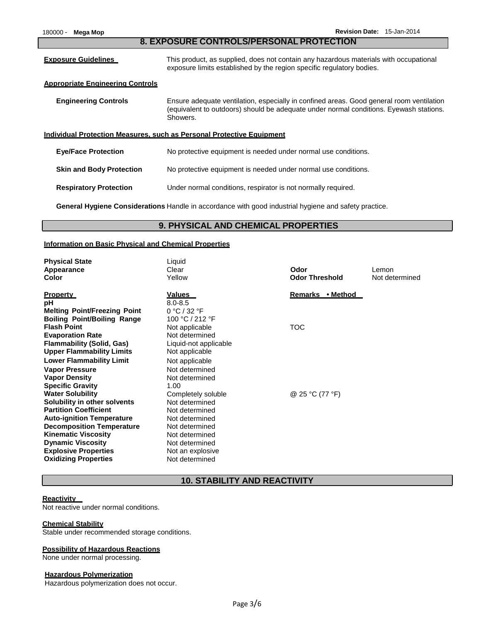| 180000 -<br>Mega Mop                                                  | Revision Date: 15-Jan-2014                                                                                                                                                                     |  |  |  |
|-----------------------------------------------------------------------|------------------------------------------------------------------------------------------------------------------------------------------------------------------------------------------------|--|--|--|
| 8. EXPOSURE CONTROLS/PERSONAL PROTECTION                              |                                                                                                                                                                                                |  |  |  |
| <b>Exposure Guidelines</b>                                            | This product, as supplied, does not contain any hazardous materials with occupational<br>exposure limits established by the region specific regulatory bodies.                                 |  |  |  |
| <b>Appropriate Engineering Controls</b>                               |                                                                                                                                                                                                |  |  |  |
| <b>Engineering Controls</b>                                           | Ensure adequate ventilation, especially in confined areas. Good general room ventilation<br>(equivalent to outdoors) should be adequate under normal conditions. Eyewash stations.<br>Showers. |  |  |  |
| Individual Protection Measures, such as Personal Protective Equipment |                                                                                                                                                                                                |  |  |  |
| <b>Eye/Face Protection</b>                                            | No protective equipment is needed under normal use conditions.                                                                                                                                 |  |  |  |

**Skin and Body Protection No protective equipment is needed under normal use conditions.** 

**Respiratory Protection** Under normal conditions, respirator is not normally required.

**General Hygiene Considerations** Handle in accordance with good industrial hygiene and safety practice.

### **9. PHYSICAL AND CHEMICAL PROPERTIES**

### **Information on Basic Physical and Chemical Properties**

| <b>Physical State</b><br>Appearance<br>Color                                                                                                                                                                                                                 | Liquid<br>Clear<br>Yellow                                                                                                                      | Odor<br><b>Odor Threshold</b> | Lemon<br>Not determined |
|--------------------------------------------------------------------------------------------------------------------------------------------------------------------------------------------------------------------------------------------------------------|------------------------------------------------------------------------------------------------------------------------------------------------|-------------------------------|-------------------------|
| <b>Property</b><br>рH<br><b>Melting Point/Freezing Point</b><br><b>Boiling Point/Boiling Range</b>                                                                                                                                                           | <u>Values</u><br>$8.0 - 8.5$<br>0 °C / 32 °F<br>100 °C / 212 °F                                                                                | Remarks • Method              |                         |
| <b>Flash Point</b><br><b>Evaporation Rate</b><br><b>Flammability (Solid, Gas)</b><br><b>Upper Flammability Limits</b><br><b>Lower Flammability Limit</b><br><b>Vapor Pressure</b>                                                                            | Not applicable<br>Not determined<br>Liquid-not applicable<br>Not applicable<br>Not applicable<br>Not determined                                | TOC                           |                         |
| <b>Vapor Density</b><br><b>Specific Gravity</b><br><b>Water Solubility</b>                                                                                                                                                                                   | Not determined<br>1.00<br>Completely soluble                                                                                                   | @ 25 °C (77 °F)               |                         |
| Solubility in other solvents<br><b>Partition Coefficient</b><br><b>Auto-ignition Temperature</b><br><b>Decomposition Temperature</b><br><b>Kinematic Viscosity</b><br><b>Dynamic Viscosity</b><br><b>Explosive Properties</b><br><b>Oxidizing Properties</b> | Not determined<br>Not determined<br>Not determined<br>Not determined<br>Not determined<br>Not determined<br>Not an explosive<br>Not determined |                               |                         |

### **10. STABILITY AND REACTIVITY**

### **Reactivity**

Not reactive under normal conditions.

### **Chemical Stability**

Stable under recommended storage conditions.

### **Possibility of Hazardous Reactions**

None under normal processing.

### **Hazardous Polymerization**

Hazardous polymerization does not occur.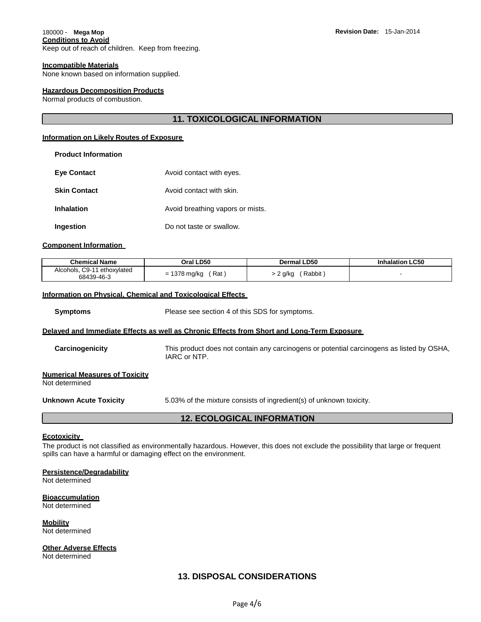## **Conditions to Avoid**

Keep out of reach of children. Keep from freezing.

### **Incompatible Materials**

None known based on information supplied.

### **Hazardous Decomposition Products**

Normal products of combustion.

### **11. TOXICOLOGICAL INFORMATION**

### **Information on Likely Routes of Exposure**

| <b>Product Information</b> |                                  |
|----------------------------|----------------------------------|
| <b>Eve Contact</b>         | Avoid contact with eyes.         |
| <b>Skin Contact</b>        | Avoid contact with skin.         |
| Inhalation                 | Avoid breathing vapors or mists. |
| Ingestion                  | Do not taste or swallow.         |

### **Component Information**

| <b>Chemical Name</b>                         | Oral LD50           | Dermal LD50      | <b>Inhalation LC50</b> |
|----------------------------------------------|---------------------|------------------|------------------------|
| Alcohols, C9-11<br>ethoxylated<br>68439-46-3 | = 1378 mg/kg<br>Rat | Rabbit<br>? g/kg |                        |

### **Information on Physical, Chemical and Toxicological Effects**

**Symptoms** Please see section 4 of this SDS for symptoms.

### **Delayed and Immediate Effects as well as Chronic Effects from Short and Long-Term Exposure**

**Carcinogenicity** This product does not contain any carcinogens or potential carcinogens as listed by OSHA, IARC or NTP.

| <b>Numerical Measures of Toxicity</b> |  |  |
|---------------------------------------|--|--|
| Matalatana, in a al-                  |  |  |

Not determined

**Unknown Acute Toxicity** 5.03% of the mixture consists of ingredient(s) of unknown toxicity.

### **12. ECOLOGICAL INFORMATION**

### **Ecotoxicity**

The product is not classified as environmentally hazardous. However, this does not exclude the possibility that large or frequent spills can have a harmful or damaging effect on the environment.

### **Persistence/Degradability**

Not determined

### **Bioaccumulation**

Not determined

**Mobility** Not determined

**Other Adverse Effects**

Not determined

### **13. DISPOSAL CONSIDERATIONS**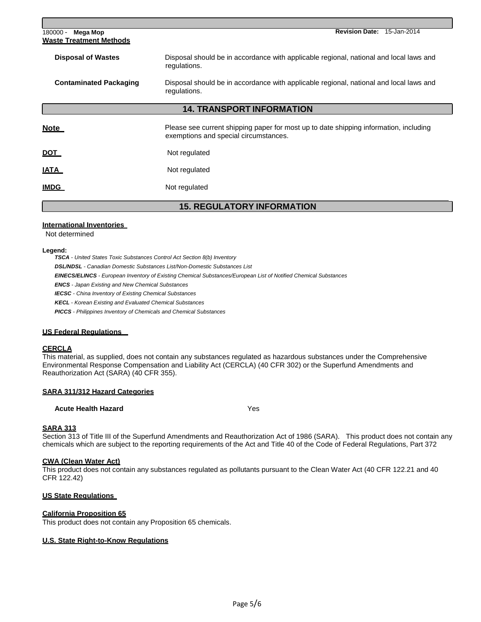| Mega Mop<br>180000 -<br><b>Waste Treatment Methods</b> | <b>Revision Date:</b><br>15-Jan-2014                                                                                           |  |  |
|--------------------------------------------------------|--------------------------------------------------------------------------------------------------------------------------------|--|--|
| <b>Disposal of Wastes</b>                              | Disposal should be in accordance with applicable regional, national and local laws and<br>regulations.                         |  |  |
| <b>Contaminated Packaging</b>                          | Disposal should be in accordance with applicable regional, national and local laws and<br>regulations.                         |  |  |
| <b>14. TRANSPORT INFORMATION</b>                       |                                                                                                                                |  |  |
| <u>Note</u>                                            | Please see current shipping paper for most up to date shipping information, including<br>exemptions and special circumstances. |  |  |
| <u>DOT</u>                                             | Not regulated                                                                                                                  |  |  |
| <u>IATA</u>                                            | Not regulated                                                                                                                  |  |  |
| <b>IMDG</b>                                            | Not regulated                                                                                                                  |  |  |
|                                                        | <b>15. REGULATORY INFORMATION</b>                                                                                              |  |  |

### **International Inventories**

Not determined

### **Legend:**

*TSCA - United States Toxic Substances Control Act Section 8(b) Inventory DSL/NDSL - Canadian Domestic Substances List/Non-Domestic Substances List EINECS/ELINCS - European Inventory of Existing Chemical Substances/European List of Notified Chemical Substances ENCS - Japan Existing and New Chemical Substances IECSC - China Inventory of Existing Chemical Substances KECL - Korean Existing and Evaluated Chemical Substances PICCS - Philippines Inventory of Chemicals and Chemical Substances*

### **US Federal Regulations**

### **CERCLA**

This material, as supplied, does not contain any substances regulated as hazardous substances under the Comprehensive Environmental Response Compensation and Liability Act (CERCLA) (40 CFR 302) or the Superfund Amendments and Reauthorization Act (SARA) (40 CFR 355).

### **SARA 311/312 Hazard Categories**

### **Acute Health Hazard** Yes

### **SARA 313**

Section 313 of Title III of the Superfund Amendments and Reauthorization Act of 1986 (SARA). This product does not contain any chemicals which are subject to the reporting requirements of the Act and Title 40 of the Code of Federal Regulations, Part 372

### **CWA (Clean Water Act)**

This product does not contain any substances regulated as pollutants pursuant to the Clean Water Act (40 CFR 122.21 and 40 CFR 122.42)

### **US State Regulations**

### **California Proposition 65**

This product does not contain any Proposition 65 chemicals.

### **U.S. State Right-to-Know Regulations**